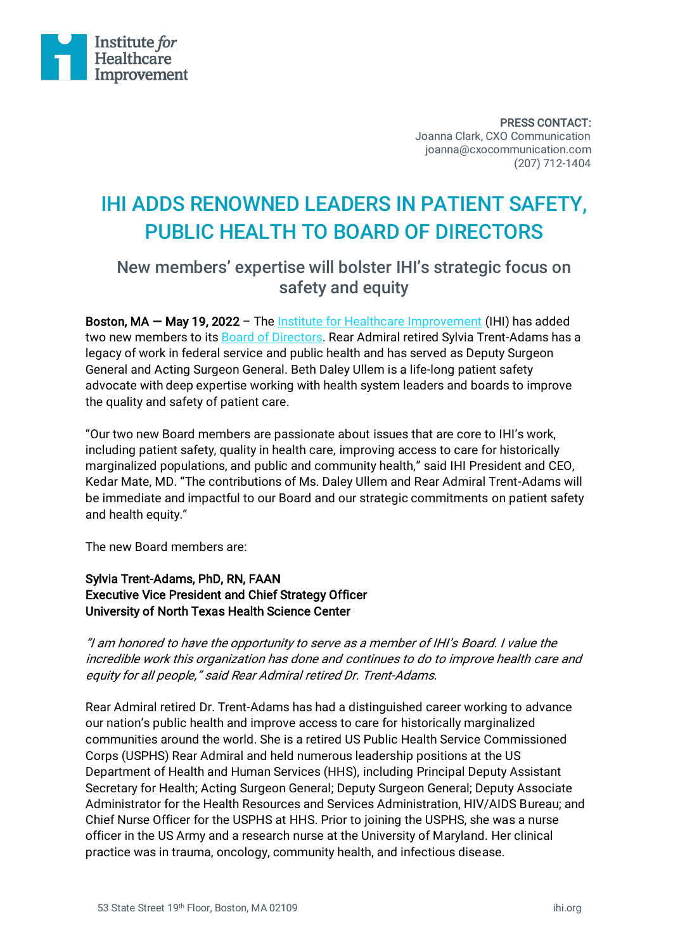

PRESS CONTACT: Joanna Clark, CXO Communication joanna@cxocommunication.com (207) 712-1404

# IHI ADDS RENOWNED LEADERS IN PATIENT SAFETY, PUBLIC HEALTH TO BOARD OF DIRECTORS

## New members' expertise will bolster IHI's strategic focus on safety and equity

Boston, MA – May 19, 2022 - The [Institute for Healthcare Improvement](http://www.ihi.org/?utm_source=IHI_Press_Release&utm_medium=Business_Wire&utm_campaign=2022_Press_Release) (IHI) has added two new members to its **Board of Directors**. Rear Admiral retired Sylvia Trent-Adams has a legacy of work in federal service and public health and has served as Deputy Surgeon General and Acting Surgeon General. Beth Daley Ullem is a life-long patient safety advocate with deep expertise working with health system leaders and boards to improve the quality and safety of patient care.

"Our two new Board members are passionate about issues that are core to IHI's work, including patient safety, quality in health care, improving access to care for historically marginalized populations, and public and community health," said IHI President and CEO, Kedar Mate, MD. "The contributions of Ms. Daley Ullem and Rear Admiral Trent-Adams will be immediate and impactful to our Board and our strategic commitments on patient safety and health equity."

The new Board members are:

### Sylvia Trent-Adams, PhD, RN, FAAN Executive Vice President and Chief Strategy Officer University of North Texas Health Science Center

"I am honored to have the opportunity to serve as a member of IHI's Board. I value the incredible work this organization has done and continues to do to improve health care and equity for all people," said Rear Admiral retired Dr. Trent-Adams.

Rear Admiral retired Dr. Trent-Adams has had a distinguished career working to advance our nation's public health and improve access to care for historically marginalized communities around the world. She is a retired US Public Health Service Commissioned Corps (USPHS) Rear Admiral and held numerous leadership positions at the US Department of Health and Human Services (HHS), including Principal Deputy Assistant Secretary for Health; Acting Surgeon General; Deputy Surgeon General; Deputy Associate Administrator for the Health Resources and Services Administration, HIV/AIDS Bureau; and Chief Nurse Officer for the USPHS at HHS. Prior to joining the USPHS, she was a nurse officer in the US Army and a research nurse at the University of Maryland. Her clinical practice was in trauma, oncology, community health, and infectious disease.